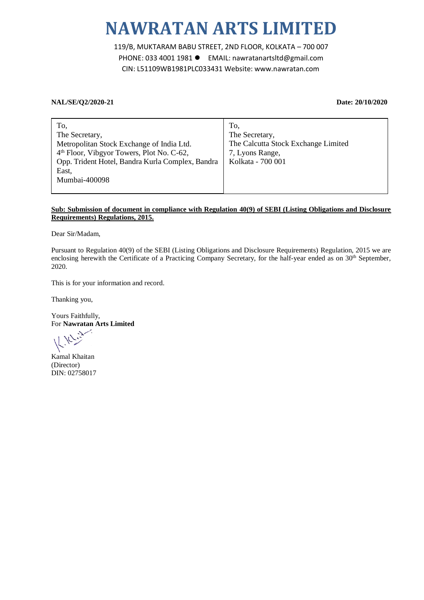## **NAWRATAN ARTS LIMITED**

119/B, MUKTARAM BABU STREET, 2ND FLOOR, KOLKATA – 700 007 PHONE: 033 4001 1981 EMAIL: nawratanartsltd@gmail.com CIN: L51109WB1981PLC033431 Website: www.nawratan.com

## **NAL/SE/Q2/2020-21 Date: 20/10/2020**

| To,                                                   | To,                                 |
|-------------------------------------------------------|-------------------------------------|
| The Secretary,                                        | The Secretary,                      |
| Metropolitan Stock Exchange of India Ltd.             | The Calcutta Stock Exchange Limited |
| 4 <sup>th</sup> Floor, Vibgyor Towers, Plot No. C-62, | 7, Lyons Range,                     |
| Opp. Trident Hotel, Bandra Kurla Complex, Bandra      | Kolkata - 700 001                   |
| East,                                                 |                                     |
| Mumbai-400098                                         |                                     |
|                                                       |                                     |

## **Sub: Submission of document in compliance with Regulation 40(9) of SEBI (Listing Obligations and Disclosure Requirements) Regulations, 2015.**

Dear Sir/Madam,

Pursuant to Regulation 40(9) of the SEBI (Listing Obligations and Disclosure Requirements) Regulation, 2015 we are enclosing herewith the Certificate of a Practicing Company Secretary, for the half-year ended as on 30<sup>th</sup> September, 2020.

This is for your information and record.

Thanking you,

Yours Faithfully, For **Nawratan Arts Limited**

Kamal Khaitan (Director) DIN: 02758017